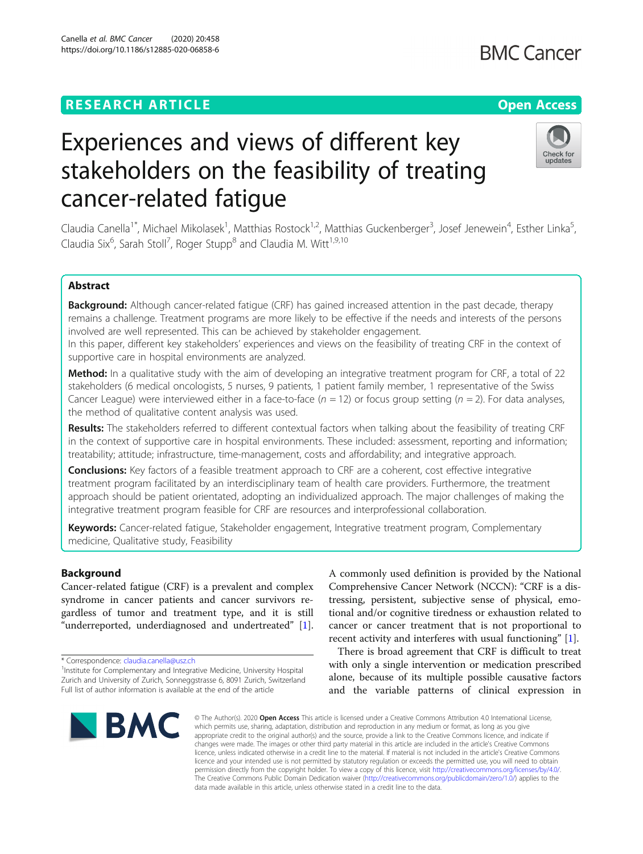# **RESEARCH ARTICLE Example 2014 12:30 The Contract of Contract ACCESS**

# Experiences and views of different key stakeholders on the feasibility of treating cancer-related fatigue

Claudia Canella<sup>1\*</sup>, Michael Mikolasek<sup>1</sup>, Matthias Rostock<sup>1,2</sup>, Matthias Guckenberger<sup>3</sup>, Josef Jenewein<sup>4</sup>, Esther Linka<sup>5</sup> , Claudia Six<sup>6</sup>, Sarah Stoll<sup>7</sup>, Roger Stupp<sup>8</sup> and Claudia M. Witt<sup>1,9,10</sup>

# Abstract

Background: Although cancer-related fatigue (CRF) has gained increased attention in the past decade, therapy remains a challenge. Treatment programs are more likely to be effective if the needs and interests of the persons involved are well represented. This can be achieved by stakeholder engagement.

In this paper, different key stakeholders' experiences and views on the feasibility of treating CRF in the context of supportive care in hospital environments are analyzed.

Method: In a qualitative study with the aim of developing an integrative treatment program for CRF, a total of 22 stakeholders (6 medical oncologists, 5 nurses, 9 patients, 1 patient family member, 1 representative of the Swiss Cancer League) were interviewed either in a face-to-face ( $n = 12$ ) or focus group setting ( $n = 2$ ). For data analyses, the method of qualitative content analysis was used.

Results: The stakeholders referred to different contextual factors when talking about the feasibility of treating CRF in the context of supportive care in hospital environments. These included: assessment, reporting and information; treatability; attitude; infrastructure, time-management, costs and affordability; and integrative approach.

**Conclusions:** Key factors of a feasible treatment approach to CRF are a coherent, cost effective integrative treatment program facilitated by an interdisciplinary team of health care providers. Furthermore, the treatment approach should be patient orientated, adopting an individualized approach. The major challenges of making the integrative treatment program feasible for CRF are resources and interprofessional collaboration.

Keywords: Cancer-related fatigue, Stakeholder engagement, Integrative treatment program, Complementary medicine, Qualitative study, Feasibility

# Background

Cancer-related fatigue (CRF) is a prevalent and complex syndrome in cancer patients and cancer survivors regardless of tumor and treatment type, and it is still "underreported, underdiagnosed and undertreated" [\[1](#page-8-0)].

\* Correspondence: [claudia.canella@usz.ch](mailto:claudia.canella@usz.ch) <sup>1</sup>

**BMC** 

A commonly used definition is provided by the National Comprehensive Cancer Network (NCCN): "CRF is a distressing, persistent, subjective sense of physical, emotional and/or cognitive tiredness or exhaustion related to cancer or cancer treatment that is not proportional to recent activity and interferes with usual functioning" [\[1](#page-8-0)].

There is broad agreement that CRF is difficult to treat with only a single intervention or medication prescribed alone, because of its multiple possible causative factors and the variable patterns of clinical expression in

© The Author(s), 2020 **Open Access** This article is licensed under a Creative Commons Attribution 4.0 International License, which permits use, sharing, adaptation, distribution and reproduction in any medium or format, as long as you give appropriate credit to the original author(s) and the source, provide a link to the Creative Commons licence, and indicate if changes were made. The images or other third party material in this article are included in the article's Creative Commons licence, unless indicated otherwise in a credit line to the material. If material is not included in the article's Creative Commons licence and your intended use is not permitted by statutory regulation or exceeds the permitted use, you will need to obtain permission directly from the copyright holder. To view a copy of this licence, visit [http://creativecommons.org/licenses/by/4.0/.](http://creativecommons.org/licenses/by/4.0/) The Creative Commons Public Domain Dedication waiver [\(http://creativecommons.org/publicdomain/zero/1.0/](http://creativecommons.org/publicdomain/zero/1.0/)) applies to the data made available in this article, unless otherwise stated in a credit line to the data.

Canella et al. BMC Cancer (2020) 20:458 https://doi.org/10.1186/s12885-020-06858-6





# **BMC Cancer**



<sup>&</sup>lt;sup>1</sup>Institute for Complementary and Integrative Medicine, University Hospital Zurich and University of Zurich, Sonneggstrasse 6, 8091 Zurich, Switzerland Full list of author information is available at the end of the article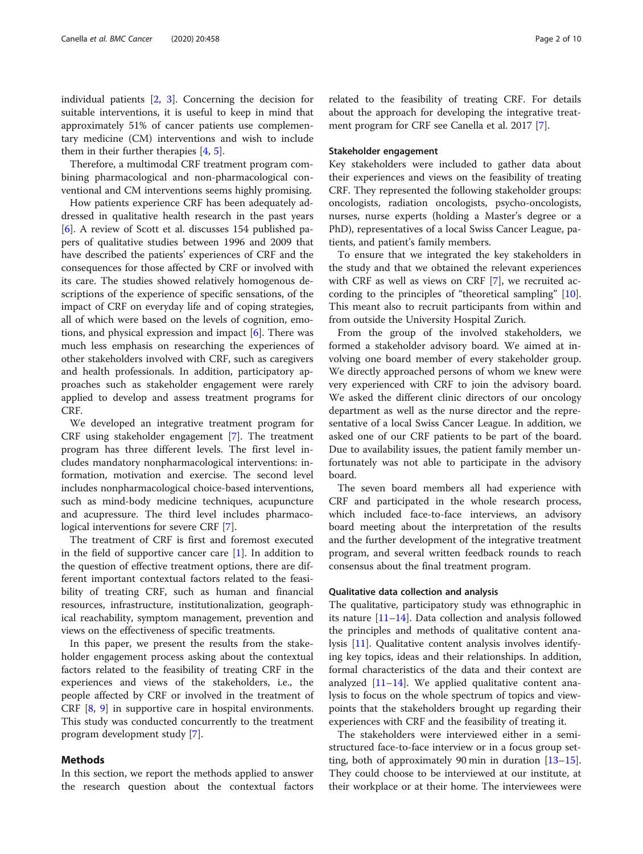individual patients [\[2](#page-8-0), [3](#page-8-0)]. Concerning the decision for suitable interventions, it is useful to keep in mind that approximately 51% of cancer patients use complementary medicine (CM) interventions and wish to include them in their further therapies [\[4,](#page-8-0) [5\]](#page-8-0).

Therefore, a multimodal CRF treatment program combining pharmacological and non-pharmacological conventional and CM interventions seems highly promising.

How patients experience CRF has been adequately addressed in qualitative health research in the past years [[6\]](#page-8-0). A review of Scott et al. discusses 154 published papers of qualitative studies between 1996 and 2009 that have described the patients' experiences of CRF and the consequences for those affected by CRF or involved with its care. The studies showed relatively homogenous descriptions of the experience of specific sensations, of the impact of CRF on everyday life and of coping strategies, all of which were based on the levels of cognition, emotions, and physical expression and impact [[6\]](#page-8-0). There was much less emphasis on researching the experiences of other stakeholders involved with CRF, such as caregivers and health professionals. In addition, participatory approaches such as stakeholder engagement were rarely applied to develop and assess treatment programs for CRF.

We developed an integrative treatment program for CRF using stakeholder engagement [[7](#page-8-0)]. The treatment program has three different levels. The first level includes mandatory nonpharmacological interventions: information, motivation and exercise. The second level includes nonpharmacological choice-based interventions, such as mind-body medicine techniques, acupuncture and acupressure. The third level includes pharmacological interventions for severe CRF [\[7\]](#page-8-0).

The treatment of CRF is first and foremost executed in the field of supportive cancer care [[1\]](#page-8-0). In addition to the question of effective treatment options, there are different important contextual factors related to the feasibility of treating CRF, such as human and financial resources, infrastructure, institutionalization, geographical reachability, symptom management, prevention and views on the effectiveness of specific treatments.

In this paper, we present the results from the stakeholder engagement process asking about the contextual factors related to the feasibility of treating CRF in the experiences and views of the stakeholders, i.e., the people affected by CRF or involved in the treatment of CRF [[8,](#page-8-0) [9\]](#page-8-0) in supportive care in hospital environments. This study was conducted concurrently to the treatment program development study [\[7](#page-8-0)].

### Methods

In this section, we report the methods applied to answer the research question about the contextual factors related to the feasibility of treating CRF. For details about the approach for developing the integrative treatment program for CRF see Canella et al. 2017 [\[7](#page-8-0)].

# Stakeholder engagement

Key stakeholders were included to gather data about their experiences and views on the feasibility of treating CRF. They represented the following stakeholder groups: oncologists, radiation oncologists, psycho-oncologists, nurses, nurse experts (holding a Master's degree or a PhD), representatives of a local Swiss Cancer League, patients, and patient's family members.

To ensure that we integrated the key stakeholders in the study and that we obtained the relevant experiences with CRF as well as views on CRF [[7\]](#page-8-0), we recruited according to the principles of "theoretical sampling" [\[10](#page-8-0)]. This meant also to recruit participants from within and from outside the University Hospital Zurich.

From the group of the involved stakeholders, we formed a stakeholder advisory board. We aimed at involving one board member of every stakeholder group. We directly approached persons of whom we knew were very experienced with CRF to join the advisory board. We asked the different clinic directors of our oncology department as well as the nurse director and the representative of a local Swiss Cancer League. In addition, we asked one of our CRF patients to be part of the board. Due to availability issues, the patient family member unfortunately was not able to participate in the advisory board.

The seven board members all had experience with CRF and participated in the whole research process, which included face-to-face interviews, an advisory board meeting about the interpretation of the results and the further development of the integrative treatment program, and several written feedback rounds to reach consensus about the final treatment program.

#### Qualitative data collection and analysis

The qualitative, participatory study was ethnographic in its nature [[11](#page-8-0)–[14](#page-8-0)]. Data collection and analysis followed the principles and methods of qualitative content analysis [\[11\]](#page-8-0). Qualitative content analysis involves identifying key topics, ideas and their relationships. In addition, formal characteristics of the data and their context are analyzed  $[11-14]$  $[11-14]$  $[11-14]$  $[11-14]$  $[11-14]$ . We applied qualitative content analysis to focus on the whole spectrum of topics and viewpoints that the stakeholders brought up regarding their experiences with CRF and the feasibility of treating it.

The stakeholders were interviewed either in a semistructured face-to-face interview or in a focus group setting, both of approximately 90 min in duration  $[13-15]$  $[13-15]$  $[13-15]$  $[13-15]$  $[13-15]$ . They could choose to be interviewed at our institute, at their workplace or at their home. The interviewees were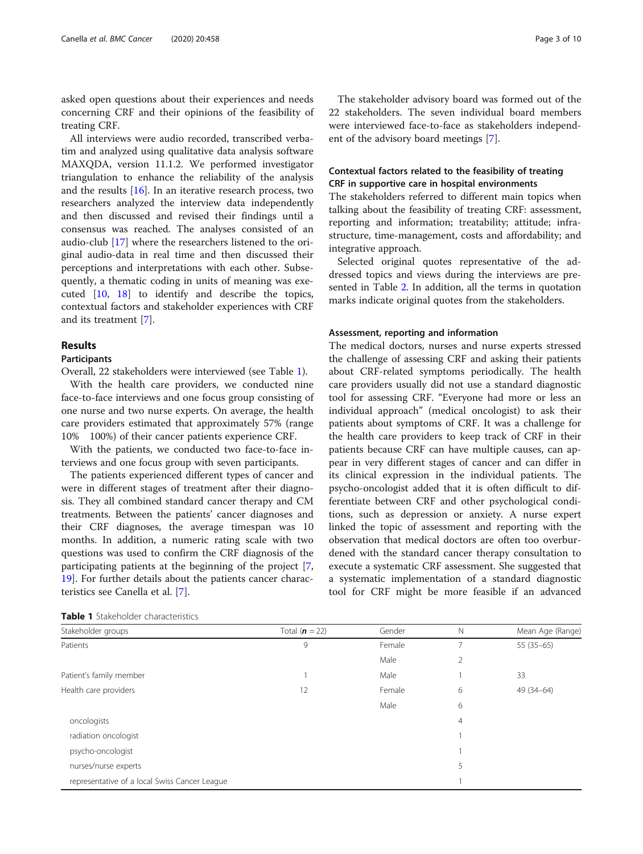asked open questions about their experiences and needs concerning CRF and their opinions of the feasibility of treating CRF.

All interviews were audio recorded, transcribed verbatim and analyzed using qualitative data analysis software MAXQDA, version 11.1.2. We performed investigator triangulation to enhance the reliability of the analysis and the results [[16\]](#page-8-0). In an iterative research process, two researchers analyzed the interview data independently and then discussed and revised their findings until a consensus was reached. The analyses consisted of an audio-club [\[17](#page-8-0)] where the researchers listened to the original audio-data in real time and then discussed their perceptions and interpretations with each other. Subsequently, a thematic coding in units of meaning was executed [\[10](#page-8-0), [18](#page-8-0)] to identify and describe the topics, contextual factors and stakeholder experiences with CRF and its treatment [\[7](#page-8-0)].

# Results

# Participants

Overall, 22 stakeholders were interviewed (see Table 1).

With the health care providers, we conducted nine face-to-face interviews and one focus group consisting of one nurse and two nurse experts. On average, the health care providers estimated that approximately 57% (range 10% 100%) of their cancer patients experience CRF.

With the patients, we conducted two face-to-face interviews and one focus group with seven participants.

The patients experienced different types of cancer and were in different stages of treatment after their diagnosis. They all combined standard cancer therapy and CM treatments. Between the patients' cancer diagnoses and their CRF diagnoses, the average timespan was 10 months. In addition, a numeric rating scale with two questions was used to confirm the CRF diagnosis of the participating patients at the beginning of the project [\[7](#page-8-0), [19\]](#page-8-0). For further details about the patients cancer characteristics see Canella et al. [[7\]](#page-8-0).

The stakeholder advisory board was formed out of the 22 stakeholders. The seven individual board members were interviewed face-to-face as stakeholders independent of the advisory board meetings [\[7](#page-8-0)].

# Contextual factors related to the feasibility of treating CRF in supportive care in hospital environments

The stakeholders referred to different main topics when talking about the feasibility of treating CRF: assessment, reporting and information; treatability; attitude; infrastructure, time-management, costs and affordability; and integrative approach.

Selected original quotes representative of the addressed topics and views during the interviews are presented in Table [2.](#page-3-0) In addition, all the terms in quotation marks indicate original quotes from the stakeholders.

#### Assessment, reporting and information

The medical doctors, nurses and nurse experts stressed the challenge of assessing CRF and asking their patients about CRF-related symptoms periodically. The health care providers usually did not use a standard diagnostic tool for assessing CRF. "Everyone had more or less an individual approach" (medical oncologist) to ask their patients about symptoms of CRF. It was a challenge for the health care providers to keep track of CRF in their patients because CRF can have multiple causes, can appear in very different stages of cancer and can differ in its clinical expression in the individual patients. The psycho-oncologist added that it is often difficult to differentiate between CRF and other psychological conditions, such as depression or anxiety. A nurse expert linked the topic of assessment and reporting with the observation that medical doctors are often too overburdened with the standard cancer therapy consultation to execute a systematic CRF assessment. She suggested that a systematic implementation of a standard diagnostic tool for CRF might be more feasible if an advanced

| Stakeholder groups                            | Total $(n = 22)$ | Gender | N              | Mean Age (Range) |
|-----------------------------------------------|------------------|--------|----------------|------------------|
| Patients                                      | 9                | Female | $\overline{ }$ | $55(35-65)$      |
|                                               |                  | Male   | 2              |                  |
| Patient's family member                       |                  | Male   |                | 33               |
| Health care providers                         | 12               | Female | 6              | 49 (34-64)       |
|                                               |                  | Male   | 6              |                  |
| oncologists                                   |                  |        | 4              |                  |
| radiation oncologist                          |                  |        |                |                  |
| psycho-oncologist                             |                  |        |                |                  |
| nurses/nurse experts                          |                  |        | 5              |                  |
| representative of a local Swiss Cancer League |                  |        |                |                  |

| <b>Table 1</b> Stakeholder characteristics |
|--------------------------------------------|
|--------------------------------------------|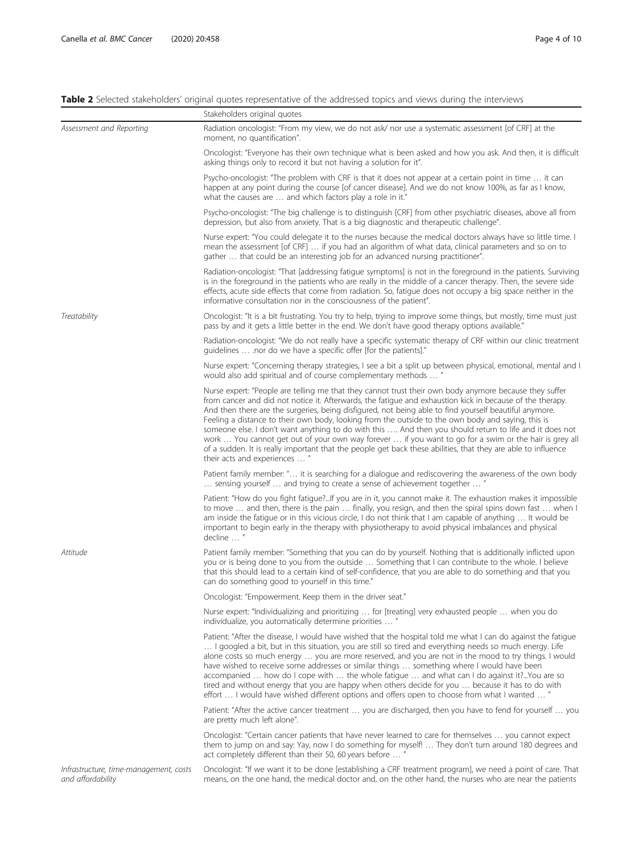# <span id="page-3-0"></span>Table 2 Selected stakeholders' original quotes representative of the addressed topics and views during the interviews

|                                                             | Stakeholders original quotes                                                                                                                                                                                                                                                                                                                                                                                                                                                                                                                                                                                                                                                                                                                                                                               |
|-------------------------------------------------------------|------------------------------------------------------------------------------------------------------------------------------------------------------------------------------------------------------------------------------------------------------------------------------------------------------------------------------------------------------------------------------------------------------------------------------------------------------------------------------------------------------------------------------------------------------------------------------------------------------------------------------------------------------------------------------------------------------------------------------------------------------------------------------------------------------------|
| Assessment and Reporting                                    | Radiation oncologist: "From my view, we do not ask/ nor use a systematic assessment [of CRF] at the<br>moment, no quantification".                                                                                                                                                                                                                                                                                                                                                                                                                                                                                                                                                                                                                                                                         |
|                                                             | Oncologist: "Everyone has their own technique what is been asked and how you ask. And then, it is difficult<br>asking things only to record it but not having a solution for it".                                                                                                                                                                                                                                                                                                                                                                                                                                                                                                                                                                                                                          |
|                                                             | Psycho-oncologist: "The problem with CRF is that it does not appear at a certain point in time  it can<br>happen at any point during the course [of cancer disease]. And we do not know 100%, as far as I know,<br>what the causes are  and which factors play a role in it."                                                                                                                                                                                                                                                                                                                                                                                                                                                                                                                              |
|                                                             | Psycho-oncologist: "The big challenge is to distinguish [CRF] from other psychiatric diseases, above all from<br>depression, but also from anxiety. That is a big diagnostic and therapeutic challenge".                                                                                                                                                                                                                                                                                                                                                                                                                                                                                                                                                                                                   |
|                                                             | Nurse expert: "You could delegate it to the nurses because the medical doctors always have so little time. I<br>mean the assessment [of CRF]  if you had an algorithm of what data, clinical parameters and so on to<br>gather  that could be an interesting job for an advanced nursing practitioner".                                                                                                                                                                                                                                                                                                                                                                                                                                                                                                    |
|                                                             | Radiation-oncologist: "That [addressing fatigue symptoms] is not in the foreground in the patients. Surviving<br>is in the foreground in the patients who are really in the middle of a cancer therapy. Then, the severe side<br>effects, acute side effects that come from radiation. So, fatigue does not occupy a big space neither in the<br>informative consultation nor in the consciousness of the patient".                                                                                                                                                                                                                                                                                                                                                                                        |
| Treatability                                                | Oncologist: "It is a bit frustrating. You try to help, trying to improve some things, but mostly, time must just<br>pass by and it gets a little better in the end. We don't have good therapy options available."                                                                                                                                                                                                                                                                                                                                                                                                                                                                                                                                                                                         |
|                                                             | Radiation-oncologist: "We do not really have a specific systematic therapy of CRF within our clinic treatment<br>guidelines  .nor do we have a specific offer [for the patients]."                                                                                                                                                                                                                                                                                                                                                                                                                                                                                                                                                                                                                         |
|                                                             | Nurse expert: "Concerning therapy strategies, I see a bit a split up between physical, emotional, mental and I<br>would also add spiritual and of course complementary methods  "                                                                                                                                                                                                                                                                                                                                                                                                                                                                                                                                                                                                                          |
|                                                             | Nurse expert: "People are telling me that they cannot trust their own body anymore because they suffer<br>from cancer and did not notice it. Afterwards, the fatigue and exhaustion kick in because of the therapy.<br>And then there are the surgeries, being disfigured, not being able to find yourself beautiful anymore.<br>Feeling a distance to their own body, looking from the outside to the own body and saying, this is<br>someone else. I don't want anything to do with this  And then you should return to life and it does not<br>work  You cannot get out of your own way forever  if you want to go for a swim or the hair is grey all<br>of a sudden. It is really important that the people get back these abilities, that they are able to influence<br>their acts and experiences  " |
|                                                             | Patient family member: " it is searching for a dialogue and rediscovering the awareness of the own body<br>sensing yourself  and trying to create a sense of achievement together  "                                                                                                                                                                                                                                                                                                                                                                                                                                                                                                                                                                                                                       |
|                                                             | Patient: "How do you fight fatigue?If you are in it, you cannot make it. The exhaustion makes it impossible<br>to move  and then, there is the pain  finally, you resign, and then the spiral spins down fast  when I<br>am inside the fatigue or in this vicious circle, I do not think that I am capable of anything  It would be<br>important to begin early in the therapy with physiotherapy to avoid physical imbalances and physical<br>decline "                                                                                                                                                                                                                                                                                                                                                   |
| Attitude                                                    | Patient family member: "Something that you can do by yourself. Nothing that is additionally inflicted upon<br>you or is being done to you from the outside  Something that I can contribute to the whole. I believe<br>that this should lead to a certain kind of self-confidence, that you are able to do something and that you<br>can do something good to yourself in this time."                                                                                                                                                                                                                                                                                                                                                                                                                      |
|                                                             | Oncologist: "Empowerment. Keep them in the driver seat."                                                                                                                                                                                                                                                                                                                                                                                                                                                                                                                                                                                                                                                                                                                                                   |
|                                                             | Nurse expert: "Individualizing and prioritizing  for [treating] very exhausted people  when you do<br>individualize, you automatically determine priorities  "                                                                                                                                                                                                                                                                                                                                                                                                                                                                                                                                                                                                                                             |
|                                                             | Patient: "After the disease, I would have wished that the hospital told me what I can do against the fatigue<br>I googled a bit, but in this situation, you are still so tired and everything needs so much energy. Life<br>alone costs so much energy  you are more reserved, and you are not in the mood to try things. I would<br>have wished to receive some addresses or similar things  something where I would have been<br>accompanied  how do I cope with  the whole fatigue  and what can I do against it?You are so<br>tired and without energy that you are happy when others decide for you  because it has to do with<br>effort  I would have wished different options and offers open to choose from what I wanted  "                                                                       |
|                                                             | Patient: "After the active cancer treatment  you are discharged, then you have to fend for yourself  you<br>are pretty much left alone".                                                                                                                                                                                                                                                                                                                                                                                                                                                                                                                                                                                                                                                                   |
|                                                             | Oncologist: "Certain cancer patients that have never learned to care for themselves  you cannot expect<br>them to jump on and say: Yay, now I do something for myself!  They don't turn around 180 degrees and<br>act completely different than their 50, 60 years before  "                                                                                                                                                                                                                                                                                                                                                                                                                                                                                                                               |
| Infrastructure, time-management, costs<br>and affordability | Oncologist: "If we want it to be done [establishing a CRF treatment program], we need a point of care. That<br>means, on the one hand, the medical doctor and, on the other hand, the nurses who are near the patients                                                                                                                                                                                                                                                                                                                                                                                                                                                                                                                                                                                     |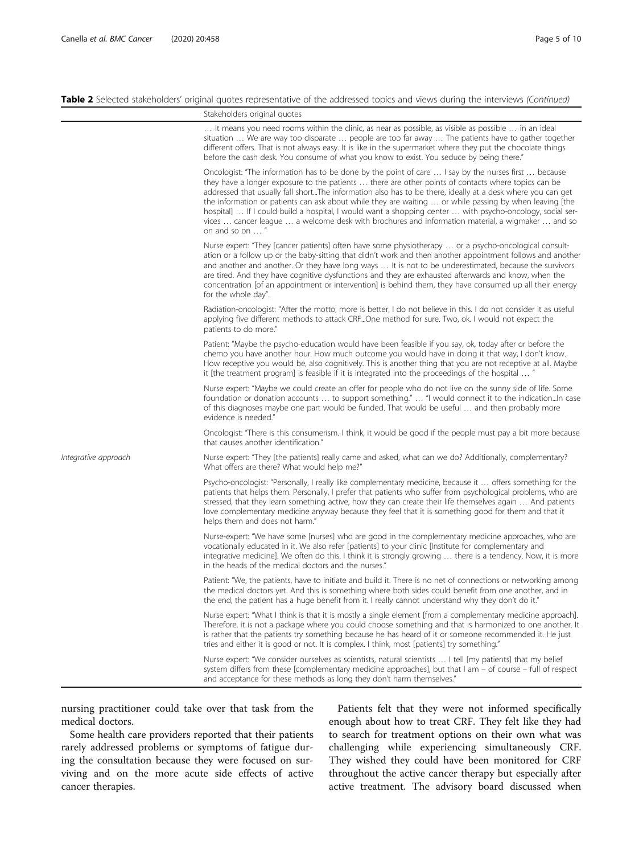# Table 2 Selected stakeholders' original quotes representative of the addressed topics and views during the interviews (Continued)

|                      | Stakeholders original quotes                                                                                                                                                                                                                                                                                                                                                                                                                                                                                                                                                                                                                                                     |
|----------------------|----------------------------------------------------------------------------------------------------------------------------------------------------------------------------------------------------------------------------------------------------------------------------------------------------------------------------------------------------------------------------------------------------------------------------------------------------------------------------------------------------------------------------------------------------------------------------------------------------------------------------------------------------------------------------------|
|                      | It means you need rooms within the clinic, as near as possible, as visible as possible  in an ideal<br>situation  We are way too disparate  people are too far away  The patients have to gather together<br>different offers. That is not always easy. It is like in the supermarket where they put the chocolate things<br>before the cash desk. You consume of what you know to exist. You seduce by being there."                                                                                                                                                                                                                                                            |
|                      | Oncologist: "The information has to be done by the point of care  I say by the nurses first  because<br>they have a longer exposure to the patients  there are other points of contacts where topics can be<br>addressed that usually fall shortThe information also has to be there, ideally at a desk where you can get<br>the information or patients can ask about while they are waiting  or while passing by when leaving [the<br>hospital]  If I could build a hospital, I would want a shopping center  with psycho-oncology, social ser-<br>vices  cancer league  a welcome desk with brochures and information material, a wigmaker  and so<br>on and so on $\ldots$ " |
|                      | Nurse expert: "They [cancer patients] often have some physiotherapy  or a psycho-oncological consult-<br>ation or a follow up or the baby-sitting that didn't work and then another appointment follows and another<br>and another and another. Or they have long ways  It is not to be underestimated, because the survivors<br>are tired. And they have cognitive dysfunctions and they are exhausted afterwards and know, when the<br>concentration [of an appointment or intervention] is behind them, they have consumed up all their energy<br>for the whole day".                                                                                                         |
|                      | Radiation-oncologist: "After the motto, more is better, I do not believe in this. I do not consider it as useful<br>applying five different methods to attack CRFOne method for sure. Two, ok. I would not expect the<br>patients to do more."                                                                                                                                                                                                                                                                                                                                                                                                                                   |
|                      | Patient: "Maybe the psycho-education would have been feasible if you say, ok, today after or before the<br>chemo you have another hour. How much outcome you would have in doing it that way, I don't know.<br>How receptive you would be, also cognitively. This is another thing that you are not receptive at all. Maybe<br>it [the treatment program] is feasible if it is integrated into the proceedings of the hospital  "                                                                                                                                                                                                                                                |
|                      | Nurse expert: "Maybe we could create an offer for people who do not live on the sunny side of life. Some<br>foundation or donation accounts  to support something."  "I would connect it to the indication In case<br>of this diagnoses maybe one part would be funded. That would be useful  and then probably more<br>evidence is needed."                                                                                                                                                                                                                                                                                                                                     |
|                      | Oncologist: "There is this consumerism. I think, it would be good if the people must pay a bit more because<br>that causes another identification."                                                                                                                                                                                                                                                                                                                                                                                                                                                                                                                              |
| Integrative approach | Nurse expert: "They [the patients] really came and asked, what can we do? Additionally, complementary?<br>What offers are there? What would help me?"                                                                                                                                                                                                                                                                                                                                                                                                                                                                                                                            |
|                      | Psycho-oncologist: "Personally, I really like complementary medicine, because it  offers something for the<br>patients that helps them. Personally, I prefer that patients who suffer from psychological problems, who are<br>stressed, that they learn something active, how they can create their life themselves again  And patients<br>love complementary medicine anyway because they feel that it is something good for them and that it<br>helps them and does not harm."                                                                                                                                                                                                 |
|                      | Nurse-expert: "We have some [nurses] who are good in the complementary medicine approaches, who are<br>vocationally educated in it. We also refer [patients] to your clinic [Institute for complementary and<br>integrative medicine]. We often do this. I think it is strongly growing  there is a tendency. Now, it is more<br>in the heads of the medical doctors and the nurses."                                                                                                                                                                                                                                                                                            |
|                      | Patient: "We, the patients, have to initiate and build it. There is no net of connections or networking among<br>the medical doctors yet. And this is something where both sides could benefit from one another, and in<br>the end, the patient has a huge benefit from it. I really cannot understand why they don't do it."                                                                                                                                                                                                                                                                                                                                                    |
|                      | Nurse expert: "What I think is that it is mostly a single element [from a complementary medicine approach].<br>Therefore, it is not a package where you could choose something and that is harmonized to one another. It<br>is rather that the patients try something because he has heard of it or someone recommended it. He just<br>tries and either it is good or not. It is complex. I think, most [patients] try something."                                                                                                                                                                                                                                               |
|                      | Nurse expert: "We consider ourselves as scientists, natural scientists  I tell [my patients] that my belief<br>system differs from these [complementary medicine approaches], but that I am - of course - full of respect<br>and acceptance for these methods as long they don't harm themselves."                                                                                                                                                                                                                                                                                                                                                                               |

nursing practitioner could take over that task from the medical doctors.

Some health care providers reported that their patients rarely addressed problems or symptoms of fatigue during the consultation because they were focused on surviving and on the more acute side effects of active cancer therapies.

Patients felt that they were not informed specifically enough about how to treat CRF. They felt like they had to search for treatment options on their own what was challenging while experiencing simultaneously CRF. They wished they could have been monitored for CRF throughout the active cancer therapy but especially after active treatment. The advisory board discussed when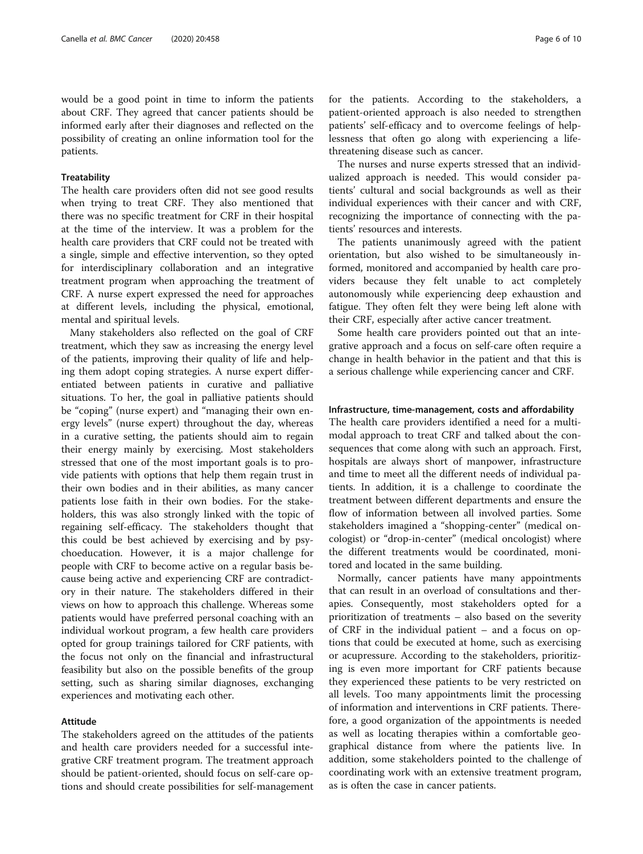would be a good point in time to inform the patients about CRF. They agreed that cancer patients should be informed early after their diagnoses and reflected on the possibility of creating an online information tool for the patients.

# **Treatability**

The health care providers often did not see good results when trying to treat CRF. They also mentioned that there was no specific treatment for CRF in their hospital at the time of the interview. It was a problem for the health care providers that CRF could not be treated with a single, simple and effective intervention, so they opted for interdisciplinary collaboration and an integrative treatment program when approaching the treatment of CRF. A nurse expert expressed the need for approaches at different levels, including the physical, emotional, mental and spiritual levels.

Many stakeholders also reflected on the goal of CRF treatment, which they saw as increasing the energy level of the patients, improving their quality of life and helping them adopt coping strategies. A nurse expert differentiated between patients in curative and palliative situations. To her, the goal in palliative patients should be "coping" (nurse expert) and "managing their own energy levels" (nurse expert) throughout the day, whereas in a curative setting, the patients should aim to regain their energy mainly by exercising. Most stakeholders stressed that one of the most important goals is to provide patients with options that help them regain trust in their own bodies and in their abilities, as many cancer patients lose faith in their own bodies. For the stakeholders, this was also strongly linked with the topic of regaining self-efficacy. The stakeholders thought that this could be best achieved by exercising and by psychoeducation. However, it is a major challenge for people with CRF to become active on a regular basis because being active and experiencing CRF are contradictory in their nature. The stakeholders differed in their views on how to approach this challenge. Whereas some patients would have preferred personal coaching with an individual workout program, a few health care providers opted for group trainings tailored for CRF patients, with the focus not only on the financial and infrastructural feasibility but also on the possible benefits of the group setting, such as sharing similar diagnoses, exchanging experiences and motivating each other.

#### Attitude

The stakeholders agreed on the attitudes of the patients and health care providers needed for a successful integrative CRF treatment program. The treatment approach should be patient-oriented, should focus on self-care options and should create possibilities for self-management for the patients. According to the stakeholders, a patient-oriented approach is also needed to strengthen patients' self-efficacy and to overcome feelings of helplessness that often go along with experiencing a lifethreatening disease such as cancer.

The nurses and nurse experts stressed that an individualized approach is needed. This would consider patients' cultural and social backgrounds as well as their individual experiences with their cancer and with CRF, recognizing the importance of connecting with the patients' resources and interests.

The patients unanimously agreed with the patient orientation, but also wished to be simultaneously informed, monitored and accompanied by health care providers because they felt unable to act completely autonomously while experiencing deep exhaustion and fatigue. They often felt they were being left alone with their CRF, especially after active cancer treatment.

Some health care providers pointed out that an integrative approach and a focus on self-care often require a change in health behavior in the patient and that this is a serious challenge while experiencing cancer and CRF.

#### Infrastructure, time-management, costs and affordability

The health care providers identified a need for a multimodal approach to treat CRF and talked about the consequences that come along with such an approach. First, hospitals are always short of manpower, infrastructure and time to meet all the different needs of individual patients. In addition, it is a challenge to coordinate the treatment between different departments and ensure the flow of information between all involved parties. Some stakeholders imagined a "shopping-center" (medical oncologist) or "drop-in-center" (medical oncologist) where the different treatments would be coordinated, monitored and located in the same building.

Normally, cancer patients have many appointments that can result in an overload of consultations and therapies. Consequently, most stakeholders opted for a prioritization of treatments – also based on the severity of CRF in the individual patient – and a focus on options that could be executed at home, such as exercising or acupressure. According to the stakeholders, prioritizing is even more important for CRF patients because they experienced these patients to be very restricted on all levels. Too many appointments limit the processing of information and interventions in CRF patients. Therefore, a good organization of the appointments is needed as well as locating therapies within a comfortable geographical distance from where the patients live. In addition, some stakeholders pointed to the challenge of coordinating work with an extensive treatment program, as is often the case in cancer patients.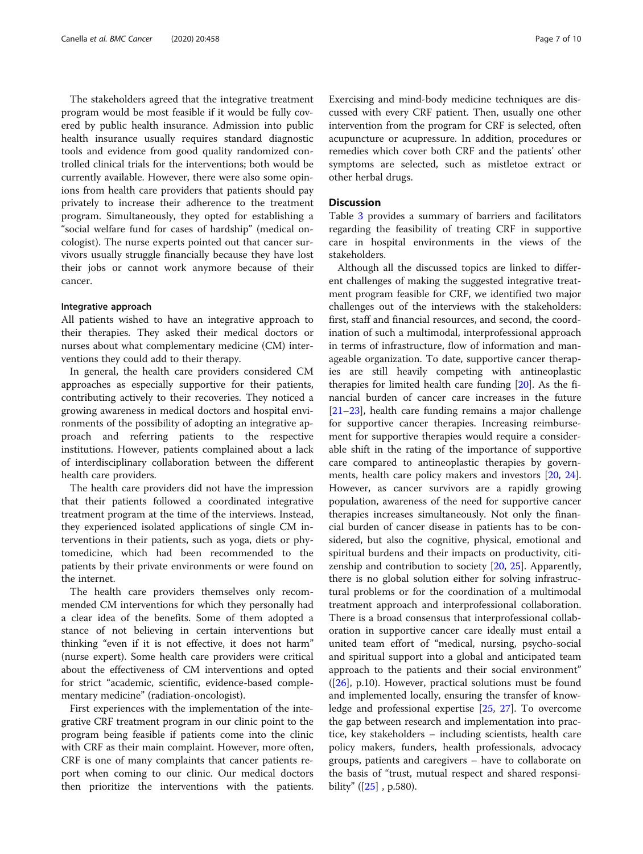The stakeholders agreed that the integrative treatment program would be most feasible if it would be fully covered by public health insurance. Admission into public health insurance usually requires standard diagnostic tools and evidence from good quality randomized controlled clinical trials for the interventions; both would be currently available. However, there were also some opinions from health care providers that patients should pay privately to increase their adherence to the treatment program. Simultaneously, they opted for establishing a "social welfare fund for cases of hardship" (medical oncologist). The nurse experts pointed out that cancer survivors usually struggle financially because they have lost their jobs or cannot work anymore because of their cancer.

#### Integrative approach

All patients wished to have an integrative approach to their therapies. They asked their medical doctors or nurses about what complementary medicine (CM) interventions they could add to their therapy.

In general, the health care providers considered CM approaches as especially supportive for their patients, contributing actively to their recoveries. They noticed a growing awareness in medical doctors and hospital environments of the possibility of adopting an integrative approach and referring patients to the respective institutions. However, patients complained about a lack of interdisciplinary collaboration between the different health care providers.

The health care providers did not have the impression that their patients followed a coordinated integrative treatment program at the time of the interviews. Instead, they experienced isolated applications of single CM interventions in their patients, such as yoga, diets or phytomedicine, which had been recommended to the patients by their private environments or were found on the internet.

The health care providers themselves only recommended CM interventions for which they personally had a clear idea of the benefits. Some of them adopted a stance of not believing in certain interventions but thinking "even if it is not effective, it does not harm" (nurse expert). Some health care providers were critical about the effectiveness of CM interventions and opted for strict "academic, scientific, evidence-based complementary medicine" (radiation-oncologist).

First experiences with the implementation of the integrative CRF treatment program in our clinic point to the program being feasible if patients come into the clinic with CRF as their main complaint. However, more often, CRF is one of many complaints that cancer patients report when coming to our clinic. Our medical doctors then prioritize the interventions with the patients.

Exercising and mind-body medicine techniques are discussed with every CRF patient. Then, usually one other intervention from the program for CRF is selected, often acupuncture or acupressure. In addition, procedures or remedies which cover both CRF and the patients' other symptoms are selected, such as mistletoe extract or other herbal drugs.

## **Discussion**

Table [3](#page-7-0) provides a summary of barriers and facilitators regarding the feasibility of treating CRF in supportive care in hospital environments in the views of the stakeholders.

Although all the discussed topics are linked to different challenges of making the suggested integrative treatment program feasible for CRF, we identified two major challenges out of the interviews with the stakeholders: first, staff and financial resources, and second, the coordination of such a multimodal, interprofessional approach in terms of infrastructure, flow of information and manageable organization. To date, supportive cancer therapies are still heavily competing with antineoplastic therapies for limited health care funding [\[20\]](#page-9-0). As the financial burden of cancer care increases in the future [[21](#page-9-0)–[23](#page-9-0)], health care funding remains a major challenge for supportive cancer therapies. Increasing reimbursement for supportive therapies would require a considerable shift in the rating of the importance of supportive care compared to antineoplastic therapies by governments, health care policy makers and investors [[20,](#page-9-0) [24](#page-9-0)]. However, as cancer survivors are a rapidly growing population, awareness of the need for supportive cancer therapies increases simultaneously. Not only the financial burden of cancer disease in patients has to be considered, but also the cognitive, physical, emotional and spiritual burdens and their impacts on productivity, citizenship and contribution to society [\[20](#page-9-0), [25](#page-9-0)]. Apparently, there is no global solution either for solving infrastructural problems or for the coordination of a multimodal treatment approach and interprofessional collaboration. There is a broad consensus that interprofessional collaboration in supportive cancer care ideally must entail a united team effort of "medical, nursing, psycho-social and spiritual support into a global and anticipated team approach to the patients and their social environment"  $([26], p.10)$  $([26], p.10)$  $([26], p.10)$ . However, practical solutions must be found and implemented locally, ensuring the transfer of knowledge and professional expertise [[25,](#page-9-0) [27](#page-9-0)]. To overcome the gap between research and implementation into practice, key stakeholders – including scientists, health care policy makers, funders, health professionals, advocacy groups, patients and caregivers – have to collaborate on the basis of "trust, mutual respect and shared responsibility" ([[25\]](#page-9-0) , p.580).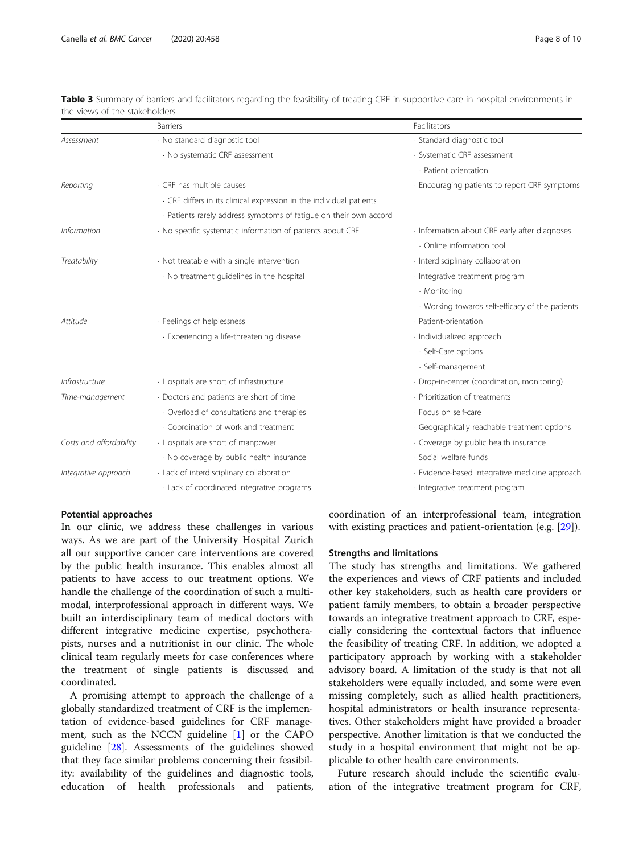|                         | <b>Barriers</b>                                                     | Facilitators                                    |
|-------------------------|---------------------------------------------------------------------|-------------------------------------------------|
| Assessment              | · No standard diagnostic tool                                       | · Standard diagnostic tool                      |
|                         | · No systematic CRF assessment                                      | · Systematic CRF assessment                     |
|                         |                                                                     | · Patient orientation                           |
| Reporting               | · CRF has multiple causes                                           | · Encouraging patients to report CRF symptoms   |
|                         | · CRF differs in its clinical expression in the individual patients |                                                 |
|                         | · Patients rarely address symptoms of fatigue on their own accord   |                                                 |
| Information             | · No specific systematic information of patients about CRF          | · Information about CRF early after diagnoses   |
|                         |                                                                     | · Online information tool                       |
| Treatability            | · Not treatable with a single intervention                          | · Interdisciplinary collaboration               |
|                         | · No treatment guidelines in the hospital                           | · Integrative treatment program                 |
|                         |                                                                     | · Monitoring                                    |
|                         |                                                                     | · Working towards self-efficacy of the patients |
| Attitude                | · Feelings of helplessness                                          | · Patient-orientation                           |
|                         | · Experiencing a life-threatening disease                           | · Individualized approach                       |
|                         |                                                                     | · Self-Care options                             |
|                         |                                                                     | · Self-management                               |
| Infrastructure          | · Hospitals are short of infrastructure                             | Drop-in-center (coordination, monitoring)       |
| Time-management         | Doctors and patients are short of time                              | · Prioritization of treatments                  |
|                         | Overload of consultations and therapies                             | · Focus on self-care                            |
|                         | · Coordination of work and treatment                                | · Geographically reachable treatment options    |
| Costs and affordability | · Hospitals are short of manpower                                   | · Coverage by public health insurance           |
|                         | · No coverage by public health insurance                            | · Social welfare funds                          |
| Integrative approach    | · Lack of interdisciplinary collaboration                           | · Evidence-based integrative medicine approach  |
|                         | Lack of coordinated integrative programs                            | · Integrative treatment program                 |

<span id="page-7-0"></span>Table 3 Summary of barriers and facilitators regarding the feasibility of treating CRF in supportive care in hospital environments in the views of the stakeholders

#### Potential approaches

In our clinic, we address these challenges in various ways. As we are part of the University Hospital Zurich all our supportive cancer care interventions are covered by the public health insurance. This enables almost all patients to have access to our treatment options. We handle the challenge of the coordination of such a multimodal, interprofessional approach in different ways. We built an interdisciplinary team of medical doctors with different integrative medicine expertise, psychotherapists, nurses and a nutritionist in our clinic. The whole clinical team regularly meets for case conferences where the treatment of single patients is discussed and coordinated.

A promising attempt to approach the challenge of a globally standardized treatment of CRF is the implementation of evidence-based guidelines for CRF management, such as the NCCN guideline [[1\]](#page-8-0) or the CAPO guideline [[28\]](#page-9-0). Assessments of the guidelines showed that they face similar problems concerning their feasibility: availability of the guidelines and diagnostic tools, education of health professionals and patients, coordination of an interprofessional team, integration with existing practices and patient-orientation (e.g. [\[29](#page-9-0)]).

# Strengths and limitations

The study has strengths and limitations. We gathered the experiences and views of CRF patients and included other key stakeholders, such as health care providers or patient family members, to obtain a broader perspective towards an integrative treatment approach to CRF, especially considering the contextual factors that influence the feasibility of treating CRF. In addition, we adopted a participatory approach by working with a stakeholder advisory board. A limitation of the study is that not all stakeholders were equally included, and some were even missing completely, such as allied health practitioners, hospital administrators or health insurance representatives. Other stakeholders might have provided a broader perspective. Another limitation is that we conducted the study in a hospital environment that might not be applicable to other health care environments.

Future research should include the scientific evaluation of the integrative treatment program for CRF,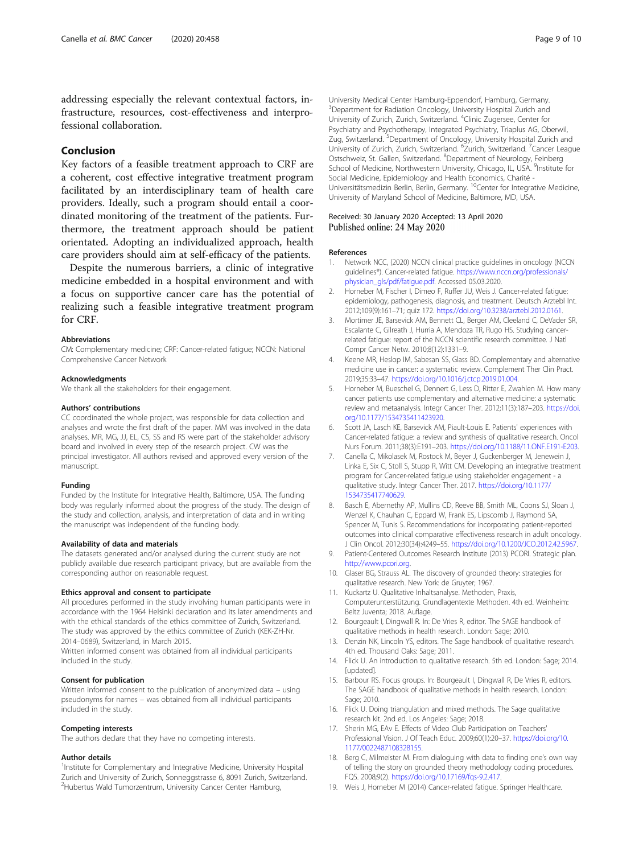<span id="page-8-0"></span>addressing especially the relevant contextual factors, infrastructure, resources, cost-effectiveness and interprofessional collaboration.

## Conclusion

Key factors of a feasible treatment approach to CRF are a coherent, cost effective integrative treatment program facilitated by an interdisciplinary team of health care providers. Ideally, such a program should entail a coordinated monitoring of the treatment of the patients. Furthermore, the treatment approach should be patient orientated. Adopting an individualized approach, health care providers should aim at self-efficacy of the patients.

Despite the numerous barriers, a clinic of integrative medicine embedded in a hospital environment and with a focus on supportive cancer care has the potential of realizing such a feasible integrative treatment program for CRF.

#### Abbreviations

CM: Complementary medicine; CRF: Cancer-related fatigue; NCCN: National Comprehensive Cancer Network

#### Acknowledgments

We thank all the stakeholders for their engagement.

#### Authors' contributions

CC coordinated the whole project, was responsible for data collection and analyses and wrote the first draft of the paper. MM was involved in the data analyses. MR, MG, JJ, EL, CS, SS and RS were part of the stakeholder advisory board and involved in every step of the research project. CW was the principal investigator. All authors revised and approved every version of the manuscript.

#### Funding

Funded by the Institute for Integrative Health, Baltimore, USA. The funding body was regularly informed about the progress of the study. The design of the study and collection, analysis, and interpretation of data and in writing the manuscript was independent of the funding body.

#### Availability of data and materials

The datasets generated and/or analysed during the current study are not publicly available due research participant privacy, but are available from the corresponding author on reasonable request.

#### Ethics approval and consent to participate

All procedures performed in the study involving human participants were in accordance with the 1964 Helsinki declaration and its later amendments and with the ethical standards of the ethics committee of Zurich, Switzerland. The study was approved by the ethics committee of Zurich (KEK-ZH-Nr. 2014–0689), Switzerland, in March 2015.

Written informed consent was obtained from all individual participants included in the study.

#### Consent for publication

Written informed consent to the publication of anonymized data – using pseudonyms for names – was obtained from all individual participants included in the study.

#### Competing interests

The authors declare that they have no competing interests.

#### Author details

<sup>1</sup>Institute for Complementary and Integrative Medicine, University Hospital Zurich and University of Zurich, Sonneggstrasse 6, 8091 Zurich, Switzerland. 2 Hubertus Wald Tumorzentrum, University Cancer Center Hamburg,

University Medical Center Hamburg-Eppendorf, Hamburg, Germany. <sup>3</sup> Department for Radiation Oncology, University Hospital Zurich and University of Zurich, Zurich, Switzerland. <sup>4</sup>Clinic Zugersee, Center for Psychiatry and Psychotherapy, Integrated Psychiatry, Triaplus AG, Oberwil, Zug, Switzerland. <sup>5</sup>Department of Oncology, University Hospital Zurich and University of Zurich, Zurich, Switzerland. <sup>6</sup>Zurich, Switzerland. <sup>7</sup>Cancer League Ostschweiz, St. Gallen, Switzerland. <sup>8</sup>Department of Neurology, Feinberg School of Medicine, Northwestern University, Chicago, IL, USA. <sup>9</sup>Institute for Social Medicine, Epidemiology and Health Economics, Charité - Universitätsmedizin Berlin, Berlin, Germany. <sup>10</sup>Center for Integrative Medicine, University of Maryland School of Medicine, Baltimore, MD, USA.

#### Received: 30 January 2020 Accepted: 13 April 2020 Published online: 24 May 2020

#### References

- 1. Network NCC, (2020) NCCN clinical practice guidelines in oncology (NCCN guidelines®). Cancer-related fatigue. [https://www.nccn.org/professionals/](https://www.nccn.org/professionals/physician_gls/pdf/fatigue.pdf) [physician\\_gls/pdf/fatigue.pdf.](https://www.nccn.org/professionals/physician_gls/pdf/fatigue.pdf) Accessed 05.03.2020.
- 2. Horneber M, Fischer I, Dimeo F, Ruffer JU, Weis J. Cancer-related fatigue: epidemiology, pathogenesis, diagnosis, and treatment. Deutsch Arztebl Int. 2012;109(9):161–71; quiz 172. <https://doi.org/10.3238/arztebl.2012.0161>.
- 3. Mortimer JE, Barsevick AM, Bennett CL, Berger AM, Cleeland C, DeVader SR, Escalante C, Gilreath J, Hurria A, Mendoza TR, Rugo HS. Studying cancerrelated fatigue: report of the NCCN scientific research committee. J Natl Compr Cancer Netw. 2010;8(12):1331–9.
- 4. Keene MR, Heslop IM, Sabesan SS, Glass BD. Complementary and alternative medicine use in cancer: a systematic review. Complement Ther Clin Pract. 2019;35:33–47. [https://doi.org/10.1016/j.ctcp.2019.01.004.](https://doi.org/10.1016/j.ctcp.2019.01.004)
- 5. Horneber M, Bueschel G, Dennert G, Less D, Ritter E, Zwahlen M. How many cancer patients use complementary and alternative medicine: a systematic review and metaanalysis. Integr Cancer Ther. 2012;11(3):187–203. [https://doi.](https://doi.org/10.1177/1534735411423920) [org/10.1177/1534735411423920.](https://doi.org/10.1177/1534735411423920)
- 6. Scott JA, Lasch KE, Barsevick AM, Piault-Louis E. Patients' experiences with Cancer-related fatigue: a review and synthesis of qualitative research. Oncol Nurs Forum. 2011;38(3):E191–203. <https://doi.org/10.1188/11.ONF.E191-E203>.
- 7. Canella C, Mikolasek M, Rostock M, Beyer J, Guckenberger M, Jenewein J, Linka E, Six C, Stoll S, Stupp R, Witt CM. Developing an integrative treatment program for Cancer-related fatigue using stakeholder engagement - a qualitative study. Integr Cancer Ther. 2017. [https://doi.org/10.1177/](https://doi.org/10.1177/1534735417740629) [1534735417740629](https://doi.org/10.1177/1534735417740629).
- 8. Basch E, Abernethy AP, Mullins CD, Reeve BB, Smith ML, Coons SJ, Sloan J, Wenzel K, Chauhan C, Eppard W, Frank ES, Lipscomb J, Raymond SA, Spencer M, Tunis S. Recommendations for incorporating patient-reported outcomes into clinical comparative effectiveness research in adult oncology. J Clin Oncol. 2012;30(34):4249–55. <https://doi.org/10.1200/JCO.2012.42.5967>.
- 9. Patient-Centered Outcomes Research Institute (2013) PCORI. Strategic plan. [http://www.pcori.org.](http://www.pcori.org)
- 10. Glaser BG, Strauss AL. The discovery of grounded theory: strategies for qualitative research. New York: de Gruyter; 1967.
- 11. Kuckartz U. Qualitative Inhaltsanalyse. Methoden, Praxis, Computerunterstützung. Grundlagentexte Methoden. 4th ed. Weinheim: Beltz Juventa; 2018. Auflage.
- 12. Bourgeault I, Dingwall R. In: De Vries R, editor. The SAGE handbook of qualitative methods in health research. London: Sage; 2010.
- 13. Denzin NK, Lincoln YS, editors. The Sage handbook of qualitative research. 4th ed. Thousand Oaks: Sage; 2011.
- 14. Flick U. An introduction to qualitative research. 5th ed. London: Sage; 2014. [updated].
- 15. Barbour RS. Focus groups. In: Bourgeault I, Dingwall R, De Vries R, editors. The SAGE handbook of qualitative methods in health research. London: Sage; 2010.
- 16. Flick U. Doing triangulation and mixed methods. The Sage qualitative research kit. 2nd ed. Los Angeles: Sage; 2018.
- 17. Sherin MG, EAv E. Effects of Video Club Participation on Teachers' Professional Vision. J Of Teach Educ. 2009;60(1):20–37. [https://doi.org/10.](https://doi.org/10.1177/0022487108328155) [1177/0022487108328155](https://doi.org/10.1177/0022487108328155).
- 18. Berg C, Milmeister M. From dialoguing with data to finding one's own way of telling the story on grounded theory methodology coding procedures. FQS. 2008;9(2). <https://doi.org/10.17169/fqs-9.2.417>.
- 19. Weis J, Horneber M (2014) Cancer-related fatigue. Springer Healthcare.